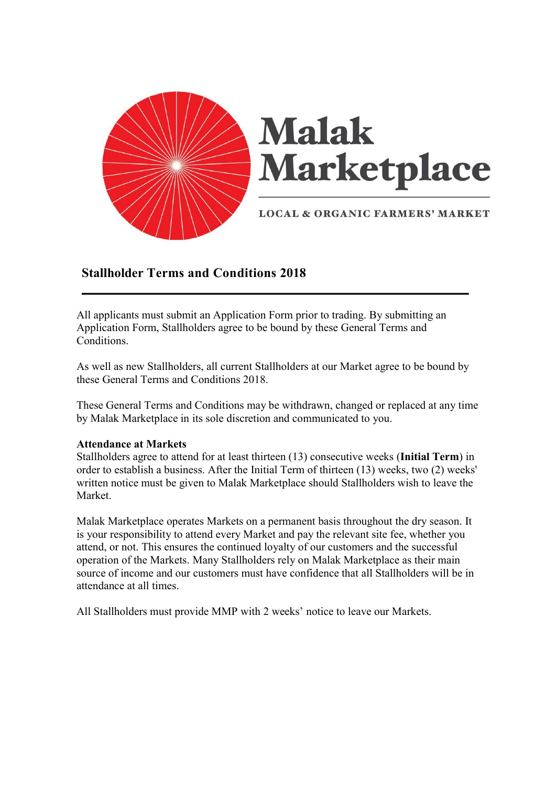

# Stallholder Terms and Conditions 2018

All applicants must submit an Application Form prior to trading. By submitting an Application Form, Stallholders agree to be bound by these General Terms and Conditions.

As well as new Stallholders, all current Stallholders at our Market agree to be bound by these General Terms and Conditions 2018.

These General Terms and Conditions may be withdrawn, changed or replaced at any time by Malak Marketplace in its sole discretion and communicated to you.

# Attendance at Markets

Stallholders agree to attend for at least thirteen (13) consecutive weeks (Initial Term) in order to establish a business. After the Initial Term of thirteen (13) weeks, two (2) weeks' written notice must be given to Malak Marketplace should Stallholders wish to leave the Market.

Malak Marketplace operates Markets on a permanent basis throughout the dry season. It is your responsibility to attend every Market and pay the relevant site fee, whether you attend, or not. This ensures the continued loyalty of our customers and the successful operation of the Markets. Many Stallholders rely on Malak Marketplace as their main source of income and our customers must have confidence that all Stallholders will be in attendance at all times.

All Stallholders must provide MMP with 2 weeks' notice to leave our Markets.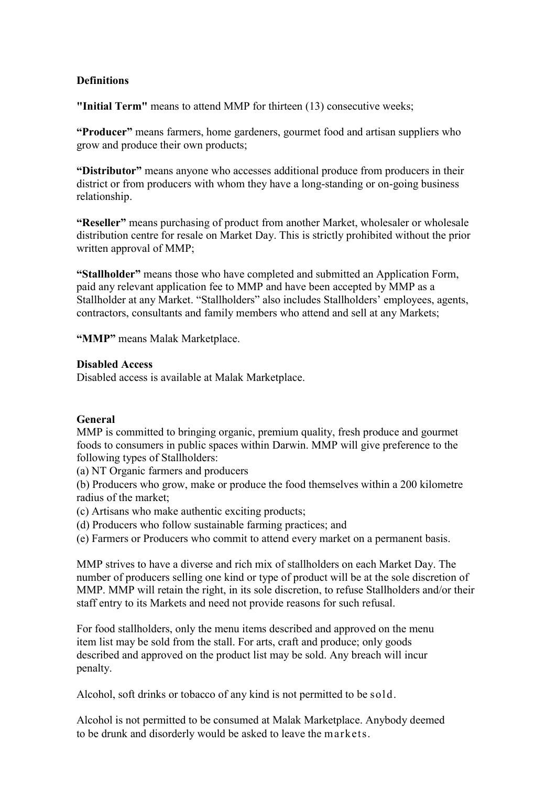# **Definitions**

"Initial Term" means to attend MMP for thirteen (13) consecutive weeks;

"Producer" means farmers, home gardeners, gourmet food and artisan suppliers who grow and produce their own products;

"Distributor" means anyone who accesses additional produce from producers in their district or from producers with whom they have a long-standing or on-going business relationship.

"Reseller" means purchasing of product from another Market, wholesaler or wholesale distribution centre for resale on Market Day. This is strictly prohibited without the prior written approval of MMP;

"Stallholder" means those who have completed and submitted an Application Form, paid any relevant application fee to MMP and have been accepted by MMP as a Stallholder at any Market. "Stallholders" also includes Stallholders' employees, agents, contractors, consultants and family members who attend and sell at any Markets;

"MMP" means Malak Marketplace.

# Disabled Access

Disabled access is available at Malak Marketplace.

# General

MMP is committed to bringing organic, premium quality, fresh produce and gourmet foods to consumers in public spaces within Darwin. MMP will give preference to the following types of Stallholders:

(a) NT Organic farmers and producers

(b) Producers who grow, make or produce the food themselves within a 200 kilometre radius of the market;

- (c) Artisans who make authentic exciting products;
- (d) Producers who follow sustainable farming practices; and
- (e) Farmers or Producers who commit to attend every market on a permanent basis.

MMP strives to have a diverse and rich mix of stallholders on each Market Day. The number of producers selling one kind or type of product will be at the sole discretion of MMP. MMP will retain the right, in its sole discretion, to refuse Stallholders and/or their staff entry to its Markets and need not provide reasons for such refusal.

For food stallholders, only the menu items described and approved on the menu item list may be sold from the stall. For arts, craft and produce; only goods described and approved on the product list may be sold. Any breach will incur penalty.

Alcohol, soft drinks or tobacco of any kind is not permitted to be sold.

Alcohol is not permitted to be consumed at Malak Marketplace. Anybody deemed to be drunk and disorderly would be asked to leave the markets.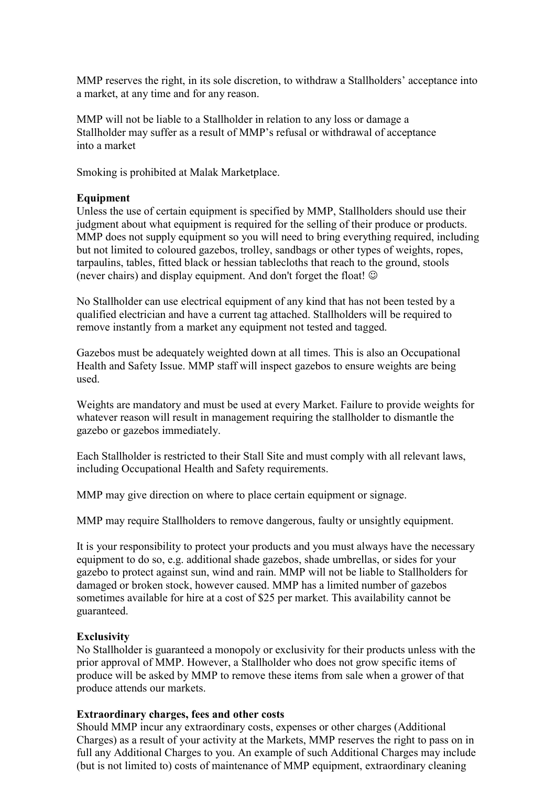MMP reserves the right, in its sole discretion, to withdraw a Stallholders' acceptance into a market, at any time and for any reason.

MMP will not be liable to a Stallholder in relation to any loss or damage a Stallholder may suffer as a result of MMP's refusal or withdrawal of acceptance into a market

Smoking is prohibited at Malak Marketplace.

#### Equipment

Unless the use of certain equipment is specified by MMP, Stallholders should use their judgment about what equipment is required for the selling of their produce or products. MMP does not supply equipment so you will need to bring everything required, including but not limited to coloured gazebos, trolley, sandbags or other types of weights, ropes, tarpaulins, tables, fitted black or hessian tablecloths that reach to the ground, stools (never chairs) and display equipment. And don't forget the float!  $\odot$ 

No Stallholder can use electrical equipment of any kind that has not been tested by a qualified electrician and have a current tag attached. Stallholders will be required to remove instantly from a market any equipment not tested and tagged.

Gazebos must be adequately weighted down at all times. This is also an Occupational Health and Safety Issue. MMP staff will inspect gazebos to ensure weights are being used.

Weights are mandatory and must be used at every Market. Failure to provide weights for whatever reason will result in management requiring the stallholder to dismantle the gazebo or gazebos immediately.

Each Stallholder is restricted to their Stall Site and must comply with all relevant laws, including Occupational Health and Safety requirements.

MMP may give direction on where to place certain equipment or signage.

MMP may require Stallholders to remove dangerous, faulty or unsightly equipment.

It is your responsibility to protect your products and you must always have the necessary equipment to do so, e.g. additional shade gazebos, shade umbrellas, or sides for your gazebo to protect against sun, wind and rain. MMP will not be liable to Stallholders for damaged or broken stock, however caused. MMP has a limited number of gazebos sometimes available for hire at a cost of \$25 per market. This availability cannot be guaranteed.

#### Exclusivity

No Stallholder is guaranteed a monopoly or exclusivity for their products unless with the prior approval of MMP. However, a Stallholder who does not grow specific items of produce will be asked by MMP to remove these items from sale when a grower of that produce attends our markets.

## Extraordinary charges, fees and other costs

Should MMP incur any extraordinary costs, expenses or other charges (Additional Charges) as a result of your activity at the Markets, MMP reserves the right to pass on in full any Additional Charges to you. An example of such Additional Charges may include (but is not limited to) costs of maintenance of MMP equipment, extraordinary cleaning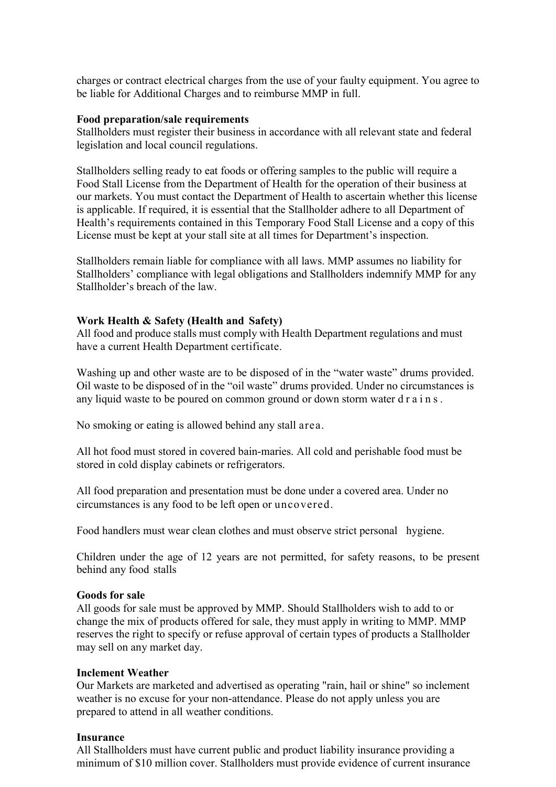charges or contract electrical charges from the use of your faulty equipment. You agree to be liable for Additional Charges and to reimburse MMP in full.

#### Food preparation/sale requirements

Stallholders must register their business in accordance with all relevant state and federal legislation and local council regulations.

Stallholders selling ready to eat foods or offering samples to the public will require a Food Stall License from the Department of Health for the operation of their business at our markets. You must contact the Department of Health to ascertain whether this license is applicable. If required, it is essential that the Stallholder adhere to all Department of Health's requirements contained in this Temporary Food Stall License and a copy of this License must be kept at your stall site at all times for Department's inspection.

Stallholders remain liable for compliance with all laws. MMP assumes no liability for Stallholders' compliance with legal obligations and Stallholders indemnify MMP for any Stallholder's breach of the law.

#### Work Health & Safety (Health and Safety)

All food and produce stalls must comply with Health Department regulations and must have a current Health Department certificate.

Washing up and other waste are to be disposed of in the "water waste" drums provided. Oil waste to be disposed of in the "oil waste" drums provided. Under no circumstances is any liquid waste to be poured on common ground or down storm water d r a i n s .

No smoking or eating is allowed behind any stall area.

All hot food must stored in covered bain-maries. All cold and perishable food must be stored in cold display cabinets or refrigerators.

All food preparation and presentation must be done under a covered area. Under no circumstances is any food to be left open or uncovered.

Food handlers must wear clean clothes and must observe strict personal hygiene.

Children under the age of 12 years are not permitted, for safety reasons, to be present behind any food stalls

#### Goods for sale

All goods for sale must be approved by MMP. Should Stallholders wish to add to or change the mix of products offered for sale, they must apply in writing to MMP. MMP reserves the right to specify or refuse approval of certain types of products a Stallholder may sell on any market day.

# Inclement Weather

Our Markets are marketed and advertised as operating "rain, hail or shine" so inclement weather is no excuse for your non-attendance. Please do not apply unless you are prepared to attend in all weather conditions.

#### Insurance

All Stallholders must have current public and product liability insurance providing a minimum of \$10 million cover. Stallholders must provide evidence of current insurance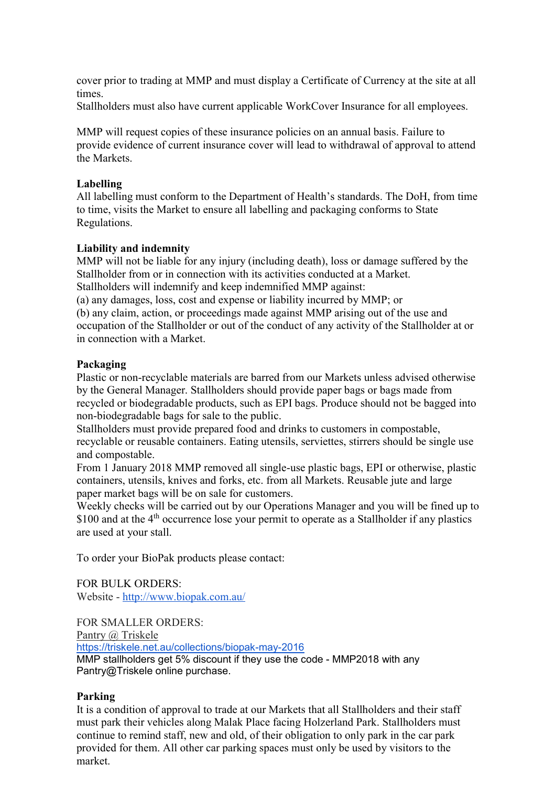cover prior to trading at MMP and must display a Certificate of Currency at the site at all times.

Stallholders must also have current applicable WorkCover Insurance for all employees.

MMP will request copies of these insurance policies on an annual basis. Failure to provide evidence of current insurance cover will lead to withdrawal of approval to attend the Markets.

# Labelling

All labelling must conform to the Department of Health's standards. The DoH, from time to time, visits the Market to ensure all labelling and packaging conforms to State Regulations.

# Liability and indemnity

MMP will not be liable for any injury (including death), loss or damage suffered by the Stallholder from or in connection with its activities conducted at a Market. Stallholders will indemnify and keep indemnified MMP against:

(a) any damages, loss, cost and expense or liability incurred by MMP; or

(b) any claim, action, or proceedings made against MMP arising out of the use and occupation of the Stallholder or out of the conduct of any activity of the Stallholder at or in connection with a Market.

### Packaging

Plastic or non-recyclable materials are barred from our Markets unless advised otherwise by the General Manager. Stallholders should provide paper bags or bags made from recycled or biodegradable products, such as EPI bags. Produce should not be bagged into non-biodegradable bags for sale to the public.

Stallholders must provide prepared food and drinks to customers in compostable, recyclable or reusable containers. Eating utensils, serviettes, stirrers should be single use and compostable.

From 1 January 2018 MMP removed all single-use plastic bags, EPI or otherwise, plastic containers, utensils, knives and forks, etc. from all Markets. Reusable jute and large paper market bags will be on sale for customers.

Weekly checks will be carried out by our Operations Manager and you will be fined up to  $$100$  and at the  $4<sup>th</sup>$  occurrence lose your permit to operate as a Stallholder if any plastics are used at your stall.

To order your BioPak products please contact:

FOR BULK ORDERS: Website - http://www.biopak.com.au/

FOR SMALLER ORDERS: Pantry @ Triskele https://triskele.net.au/collections/biopak-may-2016 MMP stallholders get 5% discount if they use the code - MMP2018 with any Pantry@Triskele online purchase.

# Parking

It is a condition of approval to trade at our Markets that all Stallholders and their staff must park their vehicles along Malak Place facing Holzerland Park. Stallholders must continue to remind staff, new and old, of their obligation to only park in the car park provided for them. All other car parking spaces must only be used by visitors to the market.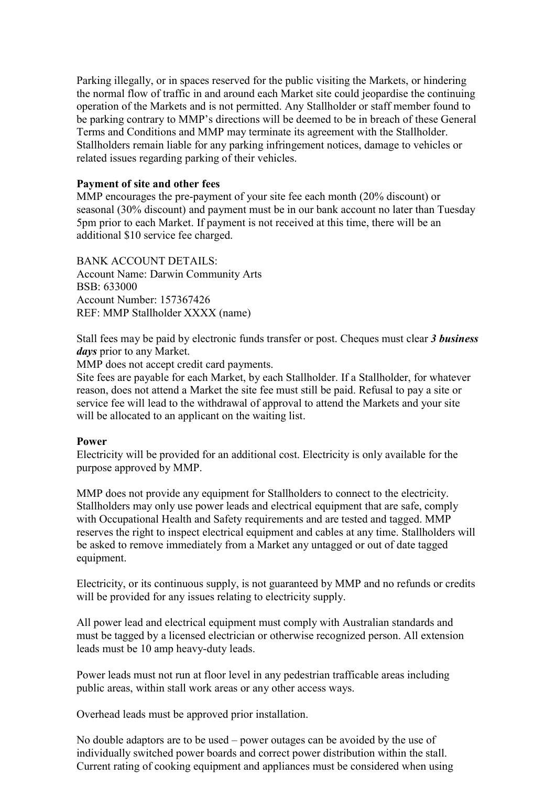Parking illegally, or in spaces reserved for the public visiting the Markets, or hindering the normal flow of traffic in and around each Market site could jeopardise the continuing operation of the Markets and is not permitted. Any Stallholder or staff member found to be parking contrary to MMP's directions will be deemed to be in breach of these General Terms and Conditions and MMP may terminate its agreement with the Stallholder. Stallholders remain liable for any parking infringement notices, damage to vehicles or related issues regarding parking of their vehicles.

# Payment of site and other fees

MMP encourages the pre-payment of your site fee each month (20% discount) or seasonal (30% discount) and payment must be in our bank account no later than Tuesday 5pm prior to each Market. If payment is not received at this time, there will be an additional \$10 service fee charged.

BANK ACCOUNT DETAILS: Account Name: Darwin Community Arts BSB: 633000 Account Number: 157367426 REF: MMP Stallholder XXXX (name)

Stall fees may be paid by electronic funds transfer or post. Cheques must clear 3 business days prior to any Market.

MMP does not accept credit card payments.

Site fees are payable for each Market, by each Stallholder. If a Stallholder, for whatever reason, does not attend a Market the site fee must still be paid. Refusal to pay a site or service fee will lead to the withdrawal of approval to attend the Markets and your site will be allocated to an applicant on the waiting list.

#### Power

Electricity will be provided for an additional cost. Electricity is only available for the purpose approved by MMP.

MMP does not provide any equipment for Stallholders to connect to the electricity. Stallholders may only use power leads and electrical equipment that are safe, comply with Occupational Health and Safety requirements and are tested and tagged. MMP reserves the right to inspect electrical equipment and cables at any time. Stallholders will be asked to remove immediately from a Market any untagged or out of date tagged equipment.

Electricity, or its continuous supply, is not guaranteed by MMP and no refunds or credits will be provided for any issues relating to electricity supply.

All power lead and electrical equipment must comply with Australian standards and must be tagged by a licensed electrician or otherwise recognized person. All extension leads must be 10 amp heavy-duty leads.

Power leads must not run at floor level in any pedestrian trafficable areas including public areas, within stall work areas or any other access ways.

Overhead leads must be approved prior installation.

No double adaptors are to be used – power outages can be avoided by the use of individually switched power boards and correct power distribution within the stall. Current rating of cooking equipment and appliances must be considered when using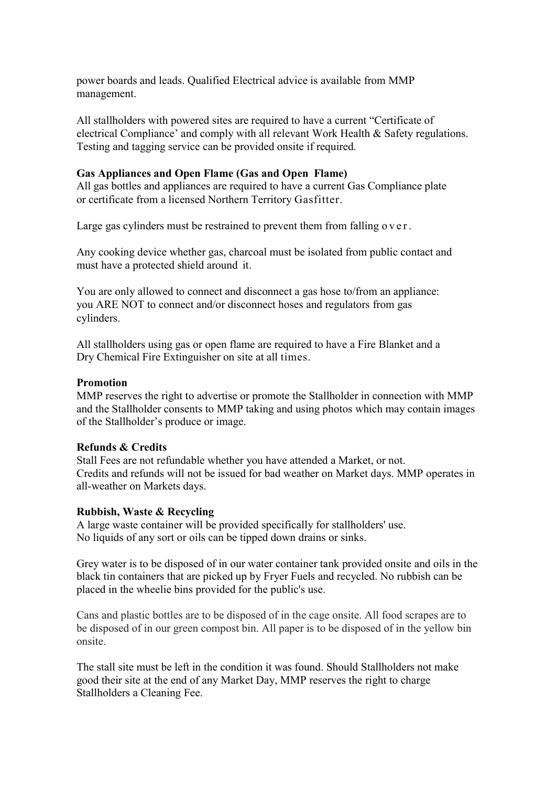power boards and leads. Qualified Electrical advice is available from MMP management.

All stallholders with powered sites are required to have a current "Certificate of electrical Compliance' and comply with all relevant Work Health & Safety regulations. Testing and tagging service can be provided onsite if required.

#### Gas Appliances and Open Flame (Gas and Open Flame)

All gas bottles and appliances are required to have a current Gas Compliance plate or certificate from a licensed Northern Territory Gasfitter.

Large gas cylinders must be restrained to prevent them from falling  $\sigma$  v e r.

Any cooking device whether gas, charcoal must be isolated from public contact and must have a protected shield around it.

You are only allowed to connect and disconnect a gas hose to/from an appliance: you ARE NOT to connect and/or disconnect hoses and regulators from gas cylinders.

All stallholders using gas or open flame are required to have a Fire Blanket and a Dry Chemical Fire Extinguisher on site at all times.

# Promotion

MMP reserves the right to advertise or promote the Stallholder in connection with MMP and the Stallholder consents to MMP taking and using photos which may contain images of the Stallholder's produce or image.

### Refunds & Credits

Stall Fees are not refundable whether you have attended a Market, or not. Credits and refunds will not be issued for bad weather on Market days. MMP operates in all-weather on Markets days.

#### Rubbish, Waste & Recycling

A large waste container will be provided specifically for stallholders' use. No liquids of any sort or oils can be tipped down drains or sinks.

Grey water is to be disposed of in our water container tank provided onsite and oils in the black tin containers that are picked up by Fryer Fuels and recycled. No rubbish can be placed in the wheelie bins provided for the public's use.

Cans and plastic bottles are to be disposed of in the cage onsite. All food scrapes are to be disposed of in our green compost bin. All paper is to be disposed of in the yellow bin onsite.

The stall site must be left in the condition it was found. Should Stallholders not make good their site at the end of any Market Day, MMP reserves the right to charge Stallholders a Cleaning Fee.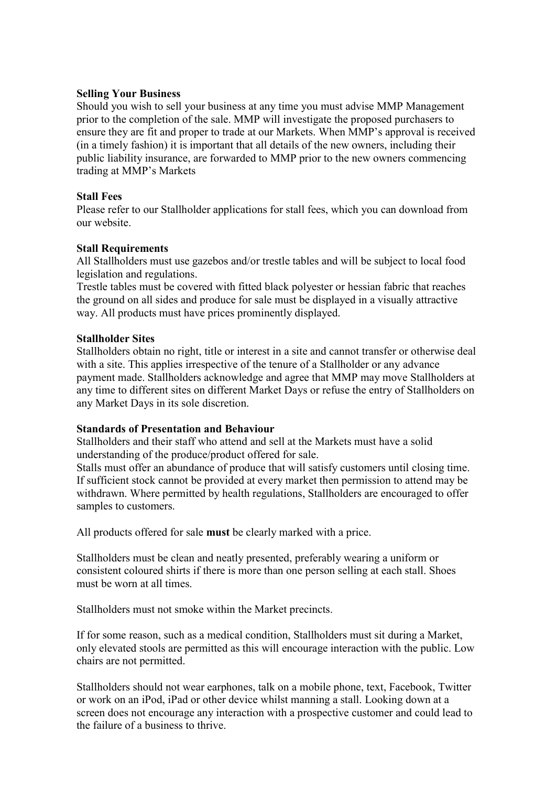# Selling Your Business

Should you wish to sell your business at any time you must advise MMP Management prior to the completion of the sale. MMP will investigate the proposed purchasers to ensure they are fit and proper to trade at our Markets. When MMP's approval is received (in a timely fashion) it is important that all details of the new owners, including their public liability insurance, are forwarded to MMP prior to the new owners commencing trading at MMP's Markets

# Stall Fees

Please refer to our Stallholder applications for stall fees, which you can download from our website.

# Stall Requirements

All Stallholders must use gazebos and/or trestle tables and will be subject to local food legislation and regulations.

Trestle tables must be covered with fitted black polyester or hessian fabric that reaches the ground on all sides and produce for sale must be displayed in a visually attractive way. All products must have prices prominently displayed.

# Stallholder Sites

Stallholders obtain no right, title or interest in a site and cannot transfer or otherwise deal with a site. This applies irrespective of the tenure of a Stallholder or any advance payment made. Stallholders acknowledge and agree that MMP may move Stallholders at any time to different sites on different Market Days or refuse the entry of Stallholders on any Market Days in its sole discretion.

# Standards of Presentation and Behaviour

Stallholders and their staff who attend and sell at the Markets must have a solid understanding of the produce/product offered for sale.

Stalls must offer an abundance of produce that will satisfy customers until closing time. If sufficient stock cannot be provided at every market then permission to attend may be withdrawn. Where permitted by health regulations, Stallholders are encouraged to offer samples to customers.

All products offered for sale must be clearly marked with a price.

Stallholders must be clean and neatly presented, preferably wearing a uniform or consistent coloured shirts if there is more than one person selling at each stall. Shoes must be worn at all times.

Stallholders must not smoke within the Market precincts.

If for some reason, such as a medical condition, Stallholders must sit during a Market, only elevated stools are permitted as this will encourage interaction with the public. Low chairs are not permitted.

Stallholders should not wear earphones, talk on a mobile phone, text, Facebook, Twitter or work on an iPod, iPad or other device whilst manning a stall. Looking down at a screen does not encourage any interaction with a prospective customer and could lead to the failure of a business to thrive.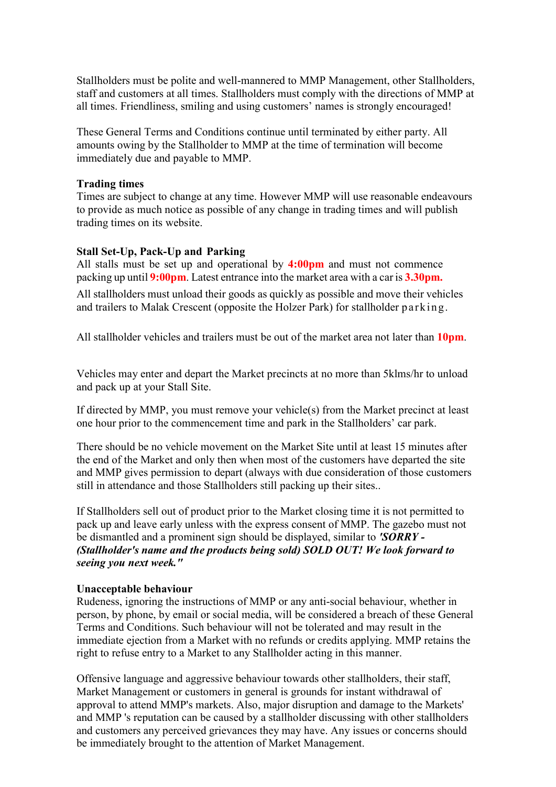Stallholders must be polite and well-mannered to MMP Management, other Stallholders, staff and customers at all times. Stallholders must comply with the directions of MMP at all times. Friendliness, smiling and using customers' names is strongly encouraged!

These General Terms and Conditions continue until terminated by either party. All amounts owing by the Stallholder to MMP at the time of termination will become immediately due and payable to MMP.

#### Trading times

Times are subject to change at any time. However MMP will use reasonable endeavours to provide as much notice as possible of any change in trading times and will publish trading times on its website.

# Stall Set-Up, Pack-Up and Parking

All stalls must be set up and operational by 4:00pm and must not commence packing up until  $9:00$ pm. Latest entrance into the market area with a car is  $3.30$ pm.

All stallholders must unload their goods as quickly as possible and move their vehicles and trailers to Malak Crescent (opposite the Holzer Park) for stallholder parking.

All stallholder vehicles and trailers must be out of the market area not later than 10pm.

Vehicles may enter and depart the Market precincts at no more than 5klms/hr to unload and pack up at your Stall Site.

If directed by MMP, you must remove your vehicle(s) from the Market precinct at least one hour prior to the commencement time and park in the Stallholders' car park.

There should be no vehicle movement on the Market Site until at least 15 minutes after the end of the Market and only then when most of the customers have departed the site and MMP gives permission to depart (always with due consideration of those customers still in attendance and those Stallholders still packing up their sites..

If Stallholders sell out of product prior to the Market closing time it is not permitted to pack up and leave early unless with the express consent of MMP. The gazebo must not be dismantled and a prominent sign should be displayed, similar to 'SORRY -(Stallholder's name and the products being sold) SOLD OUT! We look forward to seeing you next week."

#### Unacceptable behaviour

Rudeness, ignoring the instructions of MMP or any anti-social behaviour, whether in person, by phone, by email or social media, will be considered a breach of these General Terms and Conditions. Such behaviour will not be tolerated and may result in the immediate ejection from a Market with no refunds or credits applying. MMP retains the right to refuse entry to a Market to any Stallholder acting in this manner.

Offensive language and aggressive behaviour towards other stallholders, their staff, Market Management or customers in general is grounds for instant withdrawal of approval to attend MMP's markets. Also, major disruption and damage to the Markets' and MMP 's reputation can be caused by a stallholder discussing with other stallholders and customers any perceived grievances they may have. Any issues or concerns should be immediately brought to the attention of Market Management.